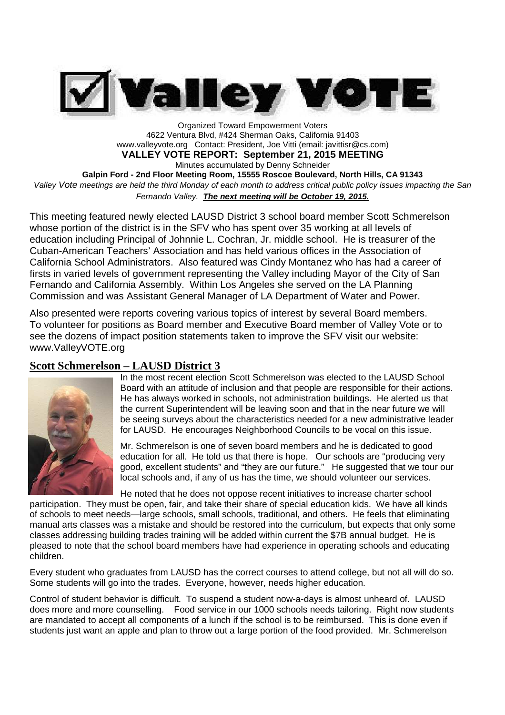

Organized Toward Empowerment Voters 4622 Ventura Blvd, #424 Sherman Oaks, California 91403 www.valleyvote.org Contact: President, Joe Vitti (email: javittisr@cs.com) **VALLEY VOTE REPORT: September 21, 2015 MEETING**

Minutes accumulated by Denny Schneider

**Galpin Ford - 2nd Floor Meeting Room, 15555 Roscoe Boulevard, North Hills, CA 91343** *Valley Vote meetings are held the third Monday of each month to address critical public policy issues impacting the San*

*Fernando Valley. The next meeting will be October 19, 2015.*

This meeting featured newly elected LAUSD District 3 school board member Scott Schmerelson whose portion of the district is in the SFV who has spent over 35 working at all levels of education including Principal of Johnnie L. Cochran, Jr. middle school. He is treasurer of the Cuban-American Teachers' Association and has held various offices in the Association of California School Administrators. Also featured was Cindy Montanez who has had a career of firsts in varied levels of government representing the Valley including Mayor of the City of San Fernando and California Assembly. Within Los Angeles she served on the LA Planning Commission and was Assistant General Manager of LA Department of Water and Power.

Also presented were reports covering various topics of interest by several Board members. To volunteer for positions as Board member and Executive Board member of Valley Vote or to see the dozens of impact position statements taken to improve the SFV visit our website: www.ValleyVOTE.org

## **Scott Schmerelson – LAUSD District 3**



In the most recent election Scott Schmerelson was elected to the LAUSD School Board with an attitude of inclusion and that people are responsible for their actions. He has always worked in schools, not administration buildings. He alerted us that the current Superintendent will be leaving soon and that in the near future we will be seeing surveys about the characteristics needed for a new administrative leader for LAUSD. He encourages Neighborhood Councils to be vocal on this issue.

Mr. Schmerelson is one of seven board members and he is dedicated to good education for all. He told us that there is hope. Our schools are "producing very good, excellent students" and "they are our future." He suggested that we tour our local schools and, if any of us has the time, we should volunteer our services.

He noted that he does not oppose recent initiatives to increase charter school participation. They must be open, fair, and take their share of special education kids. We have all kinds of schools to meet needs—large schools, small schools, traditional, and others. He feels that eliminating manual arts classes was a mistake and should be restored into the curriculum, but expects that only some classes addressing building trades training will be added within current the \$7B annual budget. He is pleased to note that the school board members have had experience in operating schools and educating children.

Every student who graduates from LAUSD has the correct courses to attend college, but not all will do so. Some students will go into the trades. Everyone, however, needs higher education.

Control of student behavior is difficult. To suspend a student now-a-days is almost unheard of. LAUSD does more and more counselling. Food service in our 1000 schools needs tailoring. Right now students are mandated to accept all components of a lunch if the school is to be reimbursed. This is done even if students just want an apple and plan to throw out a large portion of the food provided. Mr. Schmerelson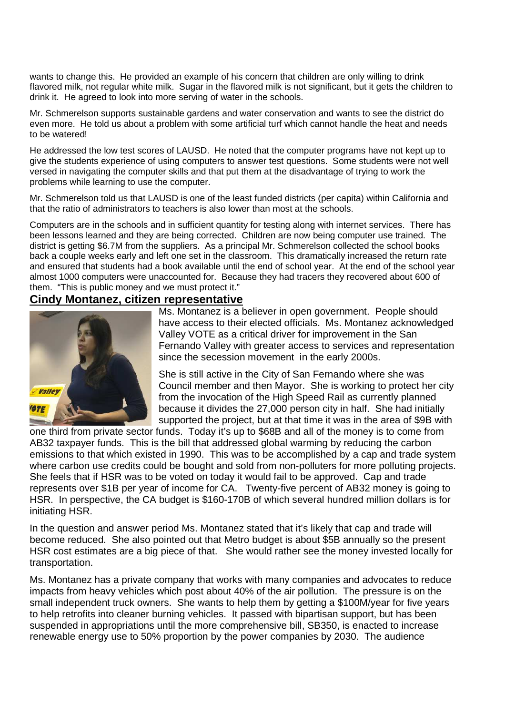wants to change this. He provided an example of his concern that children are only willing to drink flavored milk, not regular white milk. Sugar in the flavored milk is not significant, but it gets the children to drink it. He agreed to look into more serving of water in the schools.

Mr. Schmerelson supports sustainable gardens and water conservation and wants to see the district do even more. He told us about a problem with some artificial turf which cannot handle the heat and needs to be watered!

He addressed the low test scores of LAUSD. He noted that the computer programs have not kept up to give the students experience of using computers to answer test questions. Some students were not well versed in navigating the computer skills and that put them at the disadvantage of trying to work the problems while learning to use the computer.

Mr. Schmerelson told us that LAUSD is one of the least funded districts (per capita) within California and that the ratio of administrators to teachers is also lower than most at the schools.

Computers are in the schools and in sufficient quantity for testing along with internet services. There has been lessons learned and they are being corrected. Children are now being computer use trained. The district is getting \$6.7M from the suppliers. As a principal Mr. Schmerelson collected the school books back a couple weeks early and left one set in the classroom. This dramatically increased the return rate and ensured that students had a book available until the end of school year. At the end of the school year almost 1000 computers were unaccounted for. Because they had tracers they recovered about 600 of them. "This is public money and we must protect it."

### **Cindy Montanez, citizen representative**



Ms. Montanez is a believer in open government. People should have access to their elected officials. Ms. Montanez acknowledged Valley VOTE as a critical driver for improvement in the San Fernando Valley with greater access to services and representation since the secession movement in the early 2000s.

She is still active in the City of San Fernando where she was Council member and then Mayor. She is working to protect her city from the invocation of the High Speed Rail as currently planned because it divides the 27,000 person city in half. She had initially supported the project, but at that time it was in the area of \$9B with

one third from private sector funds. Today it's up to \$68B and all of the money is to come from AB32 taxpayer funds. This is the bill that addressed global warming by reducing the carbon emissions to that which existed in 1990. This was to be accomplished by a cap and trade system where carbon use credits could be bought and sold from non-polluters for more polluting projects. She feels that if HSR was to be voted on today it would fail to be approved. Cap and trade represents over \$1B per year of income for CA. Twenty-five percent of AB32 money is going to HSR. In perspective, the CA budget is \$160-170B of which several hundred million dollars is for initiating HSR.

In the question and answer period Ms. Montanez stated that it's likely that cap and trade will become reduced. She also pointed out that Metro budget is about \$5B annually so the present HSR cost estimates are a big piece of that. She would rather see the money invested locally for transportation.

Ms. Montanez has a private company that works with many companies and advocates to reduce impacts from heavy vehicles which post about 40% of the air pollution. The pressure is on the small independent truck owners. She wants to help them by getting a \$100M/year for five years to help retrofits into cleaner burning vehicles. It passed with bipartisan support, but has been suspended in appropriations until the more comprehensive bill, SB350, is enacted to increase renewable energy use to 50% proportion by the power companies by 2030. The audience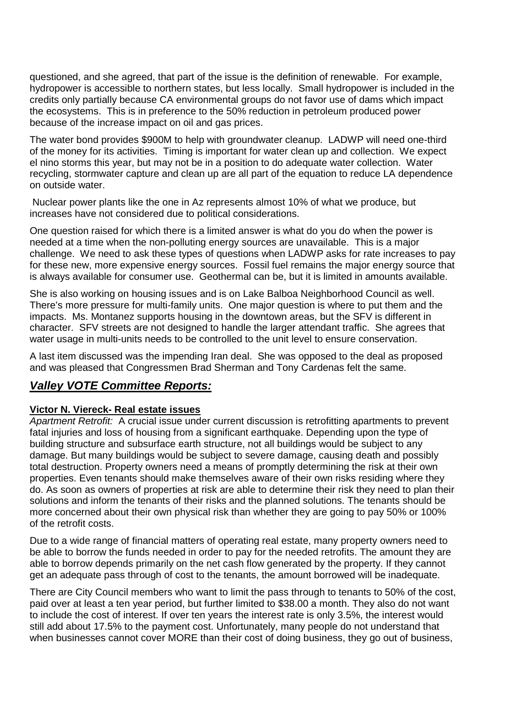questioned, and she agreed, that part of the issue is the definition of renewable. For example, hydropower is accessible to northern states, but less locally. Small hydropower is included in the credits only partially because CA environmental groups do not favor use of dams which impact the ecosystems. This is in preference to the 50% reduction in petroleum produced power because of the increase impact on oil and gas prices.

The water bond provides \$900M to help with groundwater cleanup. LADWP will need one-third of the money for its activities. Timing is important for water clean up and collection. We expect el nino storms this year, but may not be in a position to do adequate water collection. Water recycling, stormwater capture and clean up are all part of the equation to reduce LA dependence on outside water.

Nuclear power plants like the one in Az represents almost 10% of what we produce, but increases have not considered due to political considerations.

One question raised for which there is a limited answer is what do you do when the power is needed at a time when the non-polluting energy sources are unavailable. This is a major challenge. We need to ask these types of questions when LADWP asks for rate increases to pay for these new, more expensive energy sources. Fossil fuel remains the major energy source that is always available for consumer use. Geothermal can be, but it is limited in amounts available.

She is also working on housing issues and is on Lake Balboa Neighborhood Council as well. There's more pressure for multi-family units. One major question is where to put them and the impacts. Ms. Montanez supports housing in the downtown areas, but the SFV is different in character. SFV streets are not designed to handle the larger attendant traffic. She agrees that water usage in multi-units needs to be controlled to the unit level to ensure conservation.

A last item discussed was the impending Iran deal. She was opposed to the deal as proposed and was pleased that Congressmen Brad Sherman and Tony Cardenas felt the same.

# *Valley VOTE Committee Reports:*

## **Victor N. Viereck- Real estate issues**

*Apartment Retrofit:* A crucial issue under current discussion is retrofitting apartments to prevent fatal injuries and loss of housing from a significant earthquake. Depending upon the type of building structure and subsurface earth structure, not all buildings would be subject to any damage. But many buildings would be subject to severe damage, causing death and possibly total destruction. Property owners need a means of promptly determining the risk at their own properties. Even tenants should make themselves aware of their own risks residing where they do. As soon as owners of properties at risk are able to determine their risk they need to plan their solutions and inform the tenants of their risks and the planned solutions. The tenants should be more concerned about their own physical risk than whether they are going to pay 50% or 100% of the retrofit costs.

Due to a wide range of financial matters of operating real estate, many property owners need to be able to borrow the funds needed in order to pay for the needed retrofits. The amount they are able to borrow depends primarily on the net cash flow generated by the property. If they cannot get an adequate pass through of cost to the tenants, the amount borrowed will be inadequate.

There are City Council members who want to limit the pass through to tenants to 50% of the cost, paid over at least a ten year period, but further limited to \$38.00 a month. They also do not want to include the cost of interest. If over ten years the interest rate is only 3.5%, the interest would still add about 17.5% to the payment cost. Unfortunately, many people do not understand that when businesses cannot cover MORE than their cost of doing business, they go out of business,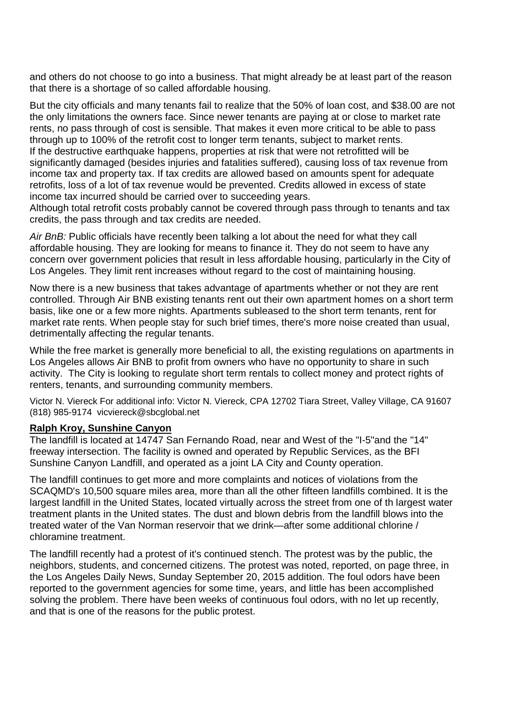and others do not choose to go into a business. That might already be at least part of the reason that there is a shortage of so called affordable housing.

But the city officials and many tenants fail to realize that the 50% of loan cost, and \$38.00 are not the only limitations the owners face. Since newer tenants are paying at or close to market rate rents, no pass through of cost is sensible. That makes it even more critical to be able to pass through up to 100% of the retrofit cost to longer term tenants, subject to market rents. If the destructive earthquake happens, properties at risk that were not retrofitted will be significantly damaged (besides injuries and fatalities suffered), causing loss of tax revenue from income tax and property tax. If tax credits are allowed based on amounts spent for adequate retrofits, loss of a lot of tax revenue would be prevented. Credits allowed in excess of state income tax incurred should be carried over to succeeding years.

Although total retrofit costs probably cannot be covered through pass through to tenants and tax credits, the pass through and tax credits are needed.

*Air BnB:* Public officials have recently been talking a lot about the need for what they call affordable housing. They are looking for means to finance it. They do not seem to have any concern over government policies that result in less affordable housing, particularly in the City of Los Angeles. They limit rent increases without regard to the cost of maintaining housing.

Now there is a new business that takes advantage of apartments whether or not they are rent controlled. Through Air BNB existing tenants rent out their own apartment homes on a short term basis, like one or a few more nights. Apartments subleased to the short term tenants, rent for market rate rents. When people stay for such brief times, there's more noise created than usual, detrimentally affecting the regular tenants.

While the free market is generally more beneficial to all, the existing regulations on apartments in Los Angeles allows Air BNB to profit from owners who have no opportunity to share in such activity. The City is looking to regulate short term rentals to collect money and protect rights of renters, tenants, and surrounding community members.

Victor N. Viereck For additional info: Victor N. Viereck, CPA 12702 Tiara Street, Valley Village, CA 91607 (818) 985-9174 vicviereck@sbcglobal.net

### **Ralph Kroy, Sunshine Canyon**

The landfill is located at 14747 San Fernando Road, near and West of the "I-5"and the "14" freeway intersection. The facility is owned and operated by Republic Services, as the BFI Sunshine Canyon Landfill, and operated as a joint LA City and County operation.

The landfill continues to get more and more complaints and notices of violations from the SCAQMD's 10,500 square miles area, more than all the other fifteen landfills combined. It is the largest landfill in the United States, located virtually across the street from one of th largest water treatment plants in the United states. The dust and blown debris from the landfill blows into the treated water of the Van Norman reservoir that we drink—after some additional chlorine / chloramine treatment.

The landfill recently had a protest of it's continued stench. The protest was by the public, the neighbors, students, and concerned citizens. The protest was noted, reported, on page three, in the Los Angeles Daily News, Sunday September 20, 2015 addition. The foul odors have been reported to the government agencies for some time, years, and little has been accomplished solving the problem. There have been weeks of continuous foul odors, with no let up recently, and that is one of the reasons for the public protest.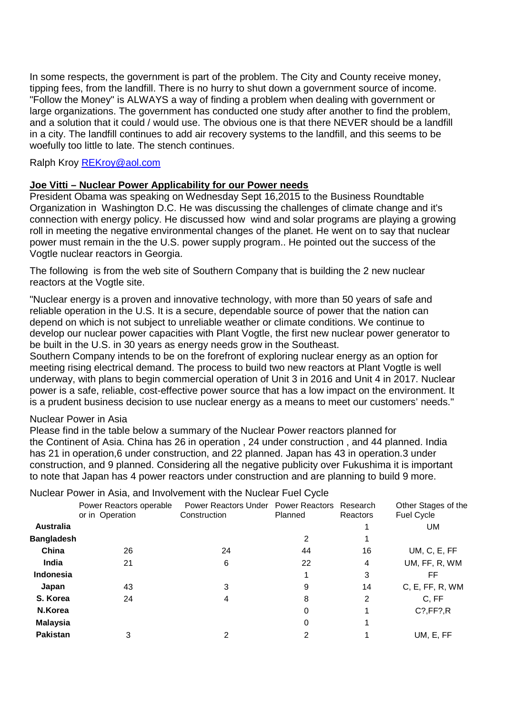In some respects, the government is part of the problem. The City and County receive money, tipping fees, from the landfill. There is no hurry to shut down a government source of income. "Follow the Money" is ALWAYS a way of finding a problem when dealing with government or large organizations. The government has conducted one study after another to find the problem, and a solution that it could / would use. The obvious one is that there NEVER should be a landfill in a city. The landfill continues to add air recovery systems to the landfill, and this seems to be woefully too little to late. The stench continues.

Ralph Kroy REKroy@aol.com

## **Joe Vitti – Nuclear Power Applicability for our Power needs**

President Obama was speaking on Wednesday Sept 16,2015 to the Business Roundtable Organization in Washington D.C. He was discussing the challenges of climate change and it's connection with energy policy. He discussed how wind and solar programs are playing a growing roll in meeting the negative environmental changes of the planet. He went on to say that nuclear power must remain in the the U.S. power supply program.. He pointed out the success of the Vogtle nuclear reactors in Georgia.

The following is from the web site of Southern Company that is building the 2 new nuclear reactors at the Vogtle site.

"Nuclear energy is a proven and innovative technology, with more than 50 years of safe and reliable operation in the U.S. It is a secure, dependable source of power that the nation can depend on which is not subject to unreliable weather or climate conditions. We continue to develop our nuclear power capacities with Plant Vogtle, the first new nuclear power generator to be built in the U.S. in 30 years as energy needs grow in the Southeast.

Southern Company intends to be on the forefront of exploring nuclear energy as an option for meeting rising electrical demand. The process to build two new reactors at Plant Vogtle is well underway, with plans to begin commercial operation of Unit 3 in 2016 and Unit 4 in 2017. Nuclear power is a safe, reliable, cost-effective power source that has a low impact on the environment. It is a prudent business decision to use nuclear energy as a means to meet our customers' needs."

### Nuclear Power in Asia

Please find in the table below a summary of the Nuclear Power reactors planned for the Continent of Asia. China has 26 in operation , 24 under construction , and 44 planned. India has 21 in operation,6 under construction, and 22 planned. Japan has 43 in operation.3 under construction, and 9 planned. Considering all the negative publicity over Fukushima it is important to note that Japan has 4 power reactors under construction and are planning to build 9 more.

|                   | Power Reactors operable<br>or in Operation | Power Reactors Under Power Reactors Research<br>Construction | Planned | Reactors       | Other Stages of the<br><b>Fuel Cycle</b> |
|-------------------|--------------------------------------------|--------------------------------------------------------------|---------|----------------|------------------------------------------|
| <b>Australia</b>  |                                            |                                                              |         |                | UM                                       |
| <b>Bangladesh</b> |                                            |                                                              | 2       |                |                                          |
| China             | 26                                         | 24                                                           | 44      | 16             | UM, C, E, FF                             |
| India             | 21                                         | 6                                                            | 22      | 4              | UM, FF, R, WM                            |
| Indonesia         |                                            |                                                              |         | 3              | FF                                       |
| Japan             | 43                                         | 3                                                            | 9       | 14             | C, E, FF, R, WM                          |
| S. Korea          | 24                                         | 4                                                            | 8       | $\overline{2}$ | C, FF                                    |
| N.Korea           |                                            |                                                              | 0       | 1              | $C$ ?, $FF$ ?, R                         |
| <b>Malaysia</b>   |                                            |                                                              | 0       |                |                                          |
| <b>Pakistan</b>   | 3                                          | 2                                                            | 2       |                | UM, E, FF                                |

#### Nuclear Power in Asia, and Involvement with the Nuclear Fuel Cycle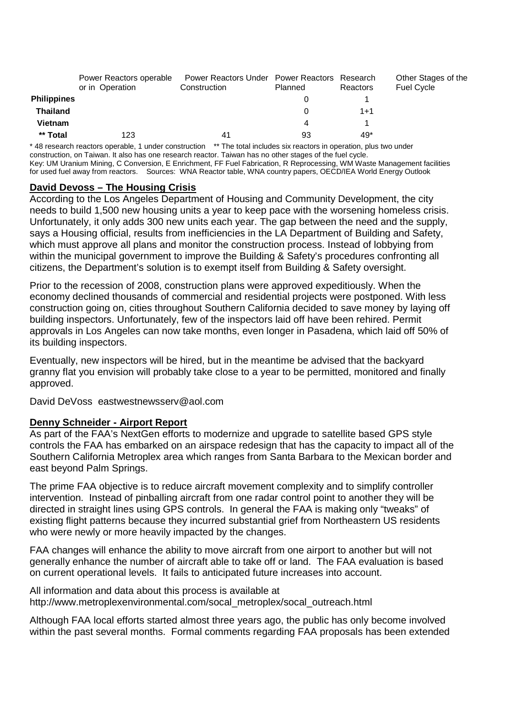|                    | Power Reactors operable<br>or in Operation | Power Reactors Under Power Reactors Research<br>Construction | Planned | Reactors | Other Stages of the<br><b>Fuel Cycle</b> |
|--------------------|--------------------------------------------|--------------------------------------------------------------|---------|----------|------------------------------------------|
| <b>Philippines</b> |                                            |                                                              |         |          |                                          |
| <b>Thailand</b>    |                                            |                                                              | 0       | $1 + 1$  |                                          |
| <b>Vietnam</b>     |                                            |                                                              | 4       |          |                                          |
| ** Total           | 123                                        | 4 <sup>1</sup>                                               | 93      | 49*      |                                          |

\* 48 research reactors operable, 1 under construction \*\* The total includes six reactors in operation, plus two under construction, on Taiwan. It also has one research reactor. Taiwan has no other stages of the fuel cycle. Key: UM Uranium Mining, C Conversion, E Enrichment, FF Fuel Fabrication, R Reprocessing, WM Waste Management facilities for used fuel away from reactors. Sources: WNA Reactor table, WNA country papers, OECD/IEA World Energy Outlook

### **David Devoss – The Housing Crisis**

According to the Los Angeles Department of Housing and Community Development, the city needs to build 1,500 new housing units a year to keep pace with the worsening homeless crisis. Unfortunately, it only adds 300 new units each year. The gap between the need and the supply, says a Housing official, results from inefficiencies in the LA Department of Building and Safety, which must approve all plans and monitor the construction process. Instead of lobbying from within the municipal government to improve the Building & Safety's procedures confronting all citizens, the Department's solution is to exempt itself from Building & Safety oversight.

Prior to the recession of 2008, construction plans were approved expeditiously. When the economy declined thousands of commercial and residential projects were postponed. With less construction going on, cities throughout Southern California decided to save money by laying off building inspectors. Unfortunately, few of the inspectors laid off have been rehired. Permit approvals in Los Angeles can now take months, even longer in Pasadena, which laid off 50% of its building inspectors.

Eventually, new inspectors will be hired, but in the meantime be advised that the backyard granny flat you envision will probably take close to a year to be permitted, monitored and finally approved.

David DeVoss eastwestnewsserv@aol.com

### **Denny Schneider - Airport Report**

As part of the FAA's NextGen efforts to modernize and upgrade to satellite based GPS style controls the FAA has embarked on an airspace redesign that has the capacity to impact all of the Southern California Metroplex area which ranges from Santa Barbara to the Mexican border and east beyond Palm Springs.

The prime FAA objective is to reduce aircraft movement complexity and to simplify controller intervention. Instead of pinballing aircraft from one radar control point to another they will be directed in straight lines using GPS controls. In general the FAA is making only "tweaks" of existing flight patterns because they incurred substantial grief from Northeastern US residents who were newly or more heavily impacted by the changes.

FAA changes will enhance the ability to move aircraft from one airport to another but will not generally enhance the number of aircraft able to take off or land. The FAA evaluation is based on current operational levels. It fails to anticipated future increases into account.

All information and data about this process is available at http://www.metroplexenvironmental.com/socal\_metroplex/socal\_outreach.html

Although FAA local efforts started almost three years ago, the public has only become involved within the past several months. Formal comments regarding FAA proposals has been extended